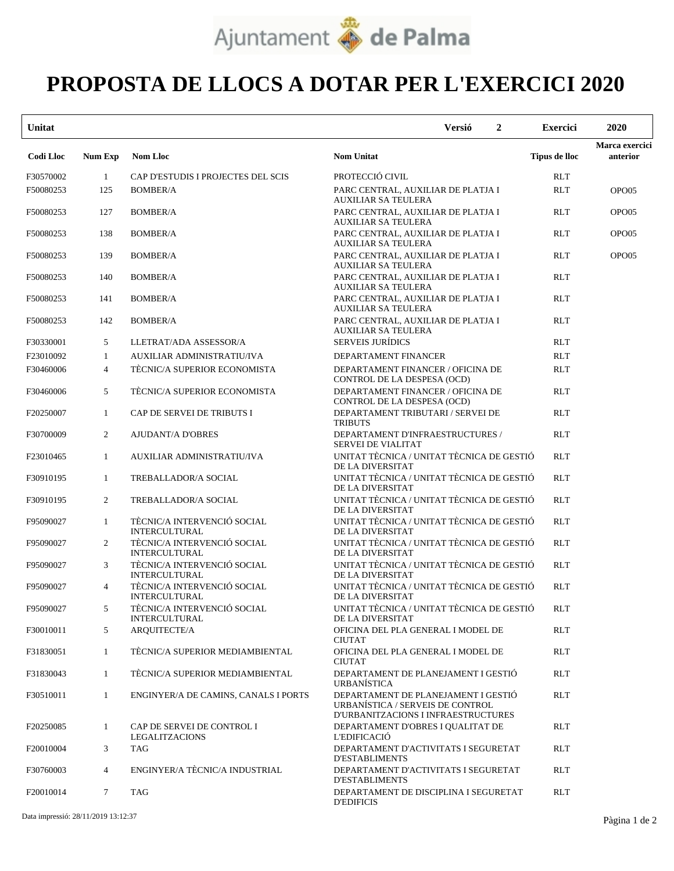

## **PROPOSTA DE LLOCS A DOTAR PER L'EXERCICI 2020**

| Unitat           |                 |                                                     | $\boldsymbol{2}$<br><b>Versió</b>                                                                              | <b>Exercici</b>      | 2020                       |
|------------------|-----------------|-----------------------------------------------------|----------------------------------------------------------------------------------------------------------------|----------------------|----------------------------|
| <b>Codi Lloc</b> | <b>Num Exp</b>  | <b>Nom Lloc</b>                                     | <b>Nom Unitat</b>                                                                                              | <b>Tipus de lloc</b> | Marca exercici<br>anterior |
| F30570002        | 1               | CAP D'ESTUDIS I PROJECTES DEL SCIS                  | PROTECCIÓ CIVIL                                                                                                | <b>RLT</b>           |                            |
| F50080253        | 125             | <b>BOMBER/A</b>                                     | PARC CENTRAL, AUXILIAR DE PLATJA I<br>AUXILIAR SA TEULERA                                                      | <b>RLT</b>           | OPO05                      |
| F50080253        | 127             | <b>BOMBER/A</b>                                     | PARC CENTRAL, AUXILIAR DE PLATJA I<br>AUXILIAR SA TEULERA                                                      | <b>RLT</b>           | OPO05                      |
| F50080253        | 138             | <b>BOMBER/A</b>                                     | PARC CENTRAL, AUXILIAR DE PLATJA I<br><b>AUXILIAR SA TEULERA</b>                                               | <b>RLT</b>           | OPO05                      |
| F50080253        | 139             | <b>BOMBER/A</b>                                     | PARC CENTRAL, AUXILIAR DE PLATJA I<br><b>AUXILIAR SA TEULERA</b>                                               | <b>RLT</b>           | OPO05                      |
| F50080253        | 140             | <b>BOMBER/A</b>                                     | PARC CENTRAL, AUXILIAR DE PLATJA I<br>AUXILIAR SA TEULERA                                                      | <b>RLT</b>           |                            |
| F50080253        | 141             | <b>BOMBER/A</b>                                     | PARC CENTRAL, AUXILIAR DE PLATJA I<br><b>AUXILIAR SA TEULERA</b>                                               | <b>RLT</b>           |                            |
| F50080253        | 142             | <b>BOMBER/A</b>                                     | PARC CENTRAL, AUXILIAR DE PLATJA I<br>AUXILIAR SA TEULERA                                                      | <b>RLT</b>           |                            |
| F30330001        | 5               | LLETRAT/ADA ASSESSOR/A                              | <b>SERVEIS JURÍDICS</b>                                                                                        | <b>RLT</b>           |                            |
| F23010092        | 1               | AUXILIAR ADMINISTRATIU/IVA                          | DEPARTAMENT FINANCER                                                                                           | <b>RLT</b>           |                            |
| F30460006        | $\overline{4}$  | TÈCNIC/A SUPERIOR ECONOMISTA                        | DEPARTAMENT FINANCER / OFICINA DE<br>CONTROL DE LA DESPESA (OCD)                                               | <b>RLT</b>           |                            |
| F30460006        | 5               | TÈCNIC/A SUPERIOR ECONOMISTA                        | DEPARTAMENT FINANCER / OFICINA DE<br>CONTROL DE LA DESPESA (OCD)                                               | <b>RLT</b>           |                            |
| F20250007        | -1              | CAP DE SERVEI DE TRIBUTS I                          | DEPARTAMENT TRIBUTARI / SERVEI DE<br><b>TRIBUTS</b>                                                            | <b>RLT</b>           |                            |
| F30700009        | $\overline{2}$  | <b>AJUDANT/A D'OBRES</b>                            | DEPARTAMENT D'INFRAESTRUCTURES /<br><b>SERVEI DE VIALITAT</b>                                                  | <b>RLT</b>           |                            |
| F23010465        | 1               | AUXILIAR ADMINISTRATIU/IVA                          | UNITAT TÈCNICA / UNITAT TÈCNICA DE GESTIÓ<br>DE LA DIVERSITAT                                                  | <b>RLT</b>           |                            |
| F30910195        | -1              | <b>TREBALLADOR/A SOCIAL</b>                         | UNITAT TÈCNICA / UNITAT TÈCNICA DE GESTIÓ<br>DE LA DIVERSITAT                                                  | <b>RLT</b>           |                            |
| F30910195        | 2               | <b>TREBALLADOR/A SOCIAL</b>                         | UNITAT TÈCNICA / UNITAT TÈCNICA DE GESTIÓ<br>DE LA DIVERSITAT                                                  | <b>RLT</b>           |                            |
| F95090027        | $\mathbf{1}$    | TÈCNIC/A INTERVENCIÓ SOCIAL<br><b>INTERCULTURAL</b> | UNITAT TÈCNICA / UNITAT TÈCNICA DE GESTIÓ<br>DE LA DIVERSITAT                                                  | <b>RLT</b>           |                            |
| F95090027        | $\overline{2}$  | TÈCNIC/A INTERVENCIÓ SOCIAL<br><b>INTERCULTURAL</b> | UNITAT TÈCNICA / UNITAT TÈCNICA DE GESTIÓ<br>DE LA DIVERSITAT                                                  | <b>RLT</b>           |                            |
| F95090027        | 3               | TÈCNIC/A INTERVENCIÓ SOCIAL<br><b>INTERCULTURAL</b> | UNITAT TÈCNICA / UNITAT TÈCNICA DE GESTIÓ<br>DE LA DIVERSITAT                                                  | <b>RLT</b>           |                            |
| F95090027        | $\overline{4}$  | TÈCNIC/A INTERVENCIÓ SOCIAL<br><b>INTERCULTURAL</b> | UNITAT TÈCNICA / UNITAT TÈCNICA DE GESTIÓ<br>DE LA DIVERSITAT                                                  | <b>RLT</b>           |                            |
| F95090027        | 5               | TÈCNIC/A INTERVENCIÓ SOCIAL<br><b>INTERCULTURAL</b> | UNITAT TÈCNICA / UNITAT TÈCNICA DE GESTIÓ<br>DE LA DIVERSITAT                                                  | <b>RLT</b>           |                            |
| F30010011        | 5               | ARQUITECTE/A                                        | OFICINA DEL PLA GENERAL I MODEL DE<br><b>CIUTAT</b>                                                            | <b>RLT</b>           |                            |
| F31830051        | $\mathbf{1}$    | TÈCNIC/A SUPERIOR MEDIAMBIENTAL                     | OFICINA DEL PLA GENERAL I MODEL DE<br>CIUTAT                                                                   | <b>RLT</b>           |                            |
| F31830043        | $\mathbf{1}$    | TÈCNIC/A SUPERIOR MEDIAMBIENTAL                     | DEPARTAMENT DE PLANEJAMENT I GESTIO<br><b>URBANÍSTICA</b>                                                      | <b>RLT</b>           |                            |
| F30510011        | 1               | ENGINYER/A DE CAMINS, CANALS I PORTS                | DEPARTAMENT DE PLANEJAMENT I GESTIÓ<br>URBANÍSTICA / SERVEIS DE CONTROL<br>D'URBANITZACIONS I INFRAESTRUCTURES | <b>RLT</b>           |                            |
| F20250085        | $\mathbf{1}$    | CAP DE SERVEI DE CONTROL I<br>LEGALITZACIONS        | DEPARTAMENT D'OBRES I QUALITAT DE<br>L'EDIFICACIÓ                                                              | <b>RLT</b>           |                            |
| F20010004        | 3               | <b>TAG</b>                                          | DEPARTAMENT D'ACTIVITATS I SEGURETAT<br><b>D'ESTABLIMENTS</b>                                                  | <b>RLT</b>           |                            |
| F30760003        | $\overline{4}$  | ENGINYER/A TÈCNIC/A INDUSTRIAL                      | DEPARTAMENT D'ACTIVITATS I SEGURETAT<br><b>D'ESTABLIMENTS</b>                                                  | <b>RLT</b>           |                            |
| F20010014        | $7\phantom{.0}$ | <b>TAG</b>                                          | DEPARTAMENT DE DISCIPLINA I SEGURETAT<br><b>D'EDIFICIS</b>                                                     | <b>RLT</b>           |                            |